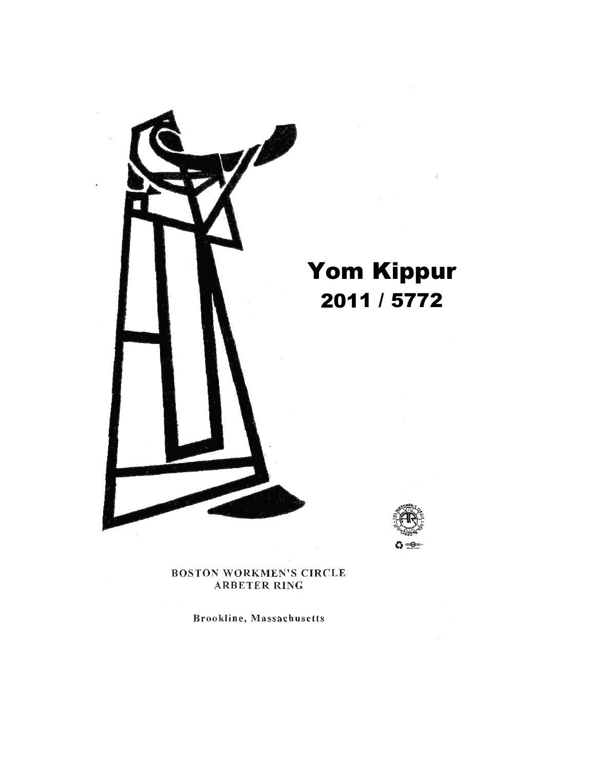

# ∆ ⊸⊚

**BOSTON WORKMEN'S CIRCLE ARBETER RING** 

Brookline, Massachusetts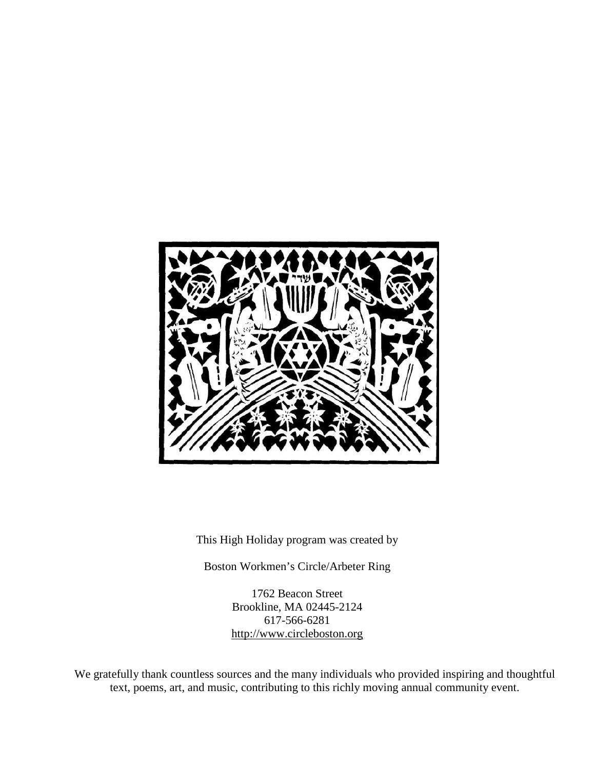

This High Holiday program was created by

Boston Workmen's Circle/Arbeter Ring

1762 Beacon Street Brookline, MA 02445-2124 617-566-6281 [http://www.circleboston.org](http://www.workmenscircleboston.org/)

We gratefully thank countless sources and the many individuals who provided inspiring and thoughtful text, poems, art, and music, contributing to this richly moving annual community event.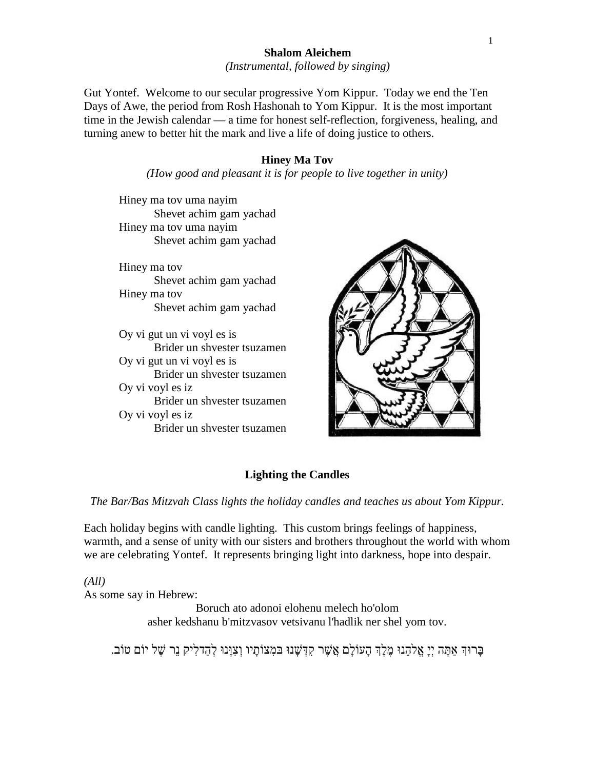# **Shalom Aleichem**

*(Instrumental, followed by singing)*

Gut Yontef. Welcome to our secular progressive Yom Kippur. Today we end the Ten Days of Awe, the period from Rosh Hashonah to Yom Kippur. It is the most important time in the Jewish calendar — a time for honest self-reflection, forgiveness, healing, and turning anew to better hit the mark and live a life of doing justice to others.

#### **Hiney Ma Tov**

*(How good and pleasant it is for people to live together in unity)*

Hiney ma tov uma nayim Shevet achim gam yachad Hiney ma tov uma nayim Shevet achim gam yachad

Hiney ma tov Shevet achim gam yachad Hiney ma tov Shevet achim gam yachad

Oy vi gut un vi voyl es is Brider un shvester tsuzamen Oy vi gut un vi voyl es is Brider un shvester tsuzamen Oy vi voyl es iz Brider un shvester tsuzamen Oy vi voyl es iz Brider un shvester tsuzamen



# **Lighting the Candles**

*The Bar/Bas Mitzvah Class lights the holiday candles and teaches us about Yom Kippur.*

Each holiday begins with candle lighting. This custom brings feelings of happiness, warmth, and a sense of unity with our sisters and brothers throughout the world with whom we are celebrating Yontef. It represents bringing light into darkness, hope into despair.

*(All)* As some say in Hebrew:

> Boruch ato adonoi elohenu melech ho'olom asher kedshanu b'mitzvasov vetsivanu l'hadlik ner shel yom tov.

ָבְרוּךְ אַתָּה יְיָ אֱלֹהֵנוּ מֶלֶךְ הָעוֹלָם אֲשֶׁר קִדְּשָׁנוּ בּמִצוֹתָיו וְצִוָּנוּ לְהַדלִיק נֵר שָׁל יוֹם טוֹב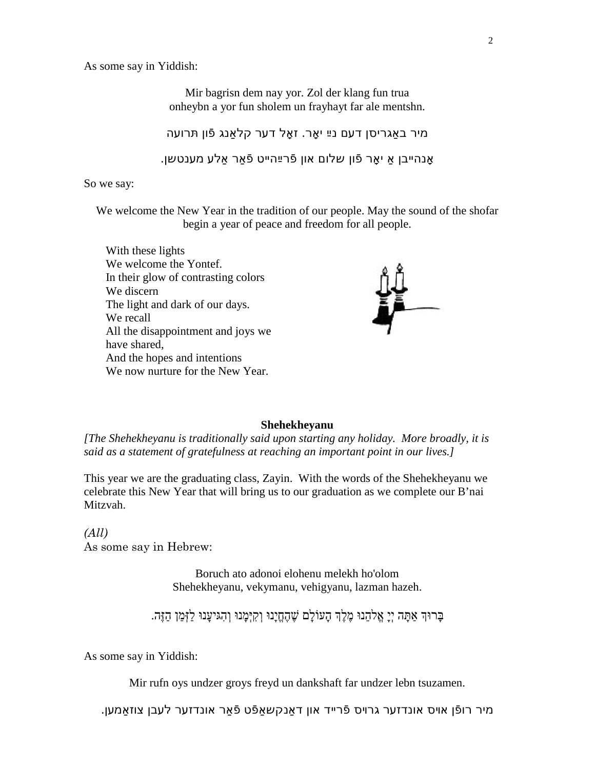As some say in Yiddish:

Mir bagrisn dem nay yor. Zol der klang fun trua onheybn a yor fun sholem un frayhayt far ale mentshn.

מיר באַגריסן דעם נײַ יאָר. זאָל דער קלאַנג פֿון תּרועה אָנהײבן אַ יאָר פֿון שלום און פֿרײַהײט פֿאַר אַלע מענטשן.

So we say:

We welcome the New Year in the tradition of our people. May the sound of the shofar begin a year of peace and freedom for all people.





#### **Shehekheyanu**

*[The Shehekheyanu is traditionally said upon starting any holiday. More broadly, it is said as a statement of gratefulness at reaching an important point in our lives.]*

This year we are the graduating class, Zayin. With the words of the Shehekheyanu we celebrate this New Year that will bring us to our graduation as we complete our B'nai Mitzvah.

*(All)* As some say in Hebrew:

> Boruch ato adonoi elohenu melekh ho'olom Shehekheyanu, vekymanu, vehigyanu, lazman hazeh.

בֶּרוּךְ אַתַּה יִיַ אֱלֹהֵנוּ מֵלֵךְ הָעוֹלַם שֶׁהֶחֱיָנוּ וַקִיּמֲנוּ וָהָגִיעֲנוּ לַזְּמַן הַזֶּה.

As some say in Yiddish:

Mir rufn oys undzer groys freyd un dankshaft far undzer lebn tsuzamen.

מיר רופֿן אױס אונדזער גרױס פֿרײד און דאַנקשאַפֿט פֿאַר אונדזער לעבן צוזאַמען.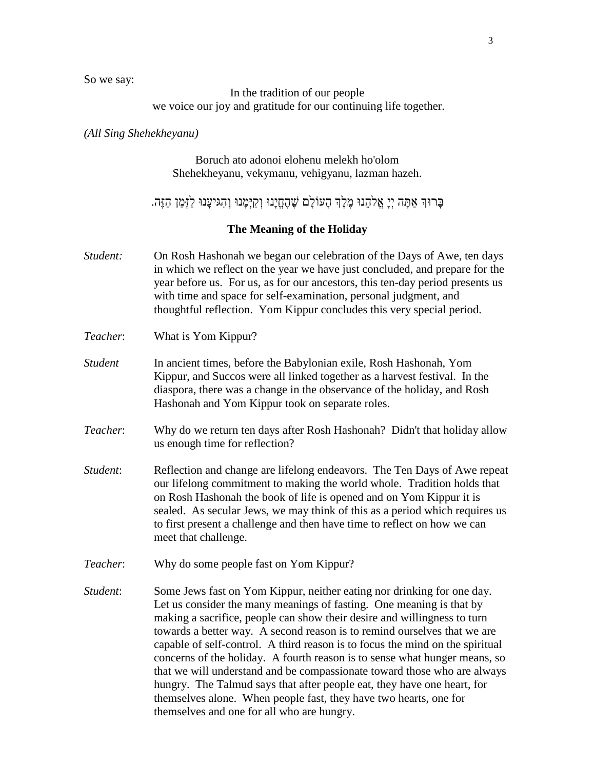So we say:

In the tradition of our people we voice our joy and gratitude for our continuing life together.

#### *(All Sing Shehekheyanu)*

Boruch ato adonoi elohenu melekh ho'olom Shehekheyanu, vekymanu, vehigyanu, lazman hazeh.

בְּרוּךְ אַתַּה יִיַ אֱלֹהֱנוּ מֵלֵךְ הָעוֹלָם שֶׁהֶחֱיָנוּ וִקִיִּמְנוּ וָהְגִיעָנוּ לַזִּמַן הַזֶּה.

#### **The Meaning of the Holiday**

- *Student:* On Rosh Hashonah we began our celebration of the Days of Awe, ten days in which we reflect on the year we have just concluded, and prepare for the year before us. For us, as for our ancestors, this ten-day period presents us with time and space for self-examination, personal judgment, and thoughtful reflection. Yom Kippur concludes this very special period.
- *Teacher*: What is Yom Kippur?
- *Student* In ancient times, before the Babylonian exile, Rosh Hashonah, Yom Kippur, and Succos were all linked together as a harvest festival. In the diaspora, there was a change in the observance of the holiday, and Rosh Hashonah and Yom Kippur took on separate roles.
- *Teacher*: Why do we return ten days after Rosh Hashonah? Didn't that holiday allow us enough time for reflection?
- *Student*: Reflection and change are lifelong endeavors. The Ten Days of Awe repeat our lifelong commitment to making the world whole. Tradition holds that on Rosh Hashonah the book of life is opened and on Yom Kippur it is sealed. As secular Jews, we may think of this as a period which requires us to first present a challenge and then have time to reflect on how we can meet that challenge.
- *Teacher*: Why do some people fast on Yom Kippur?
- *Student*: Some Jews fast on Yom Kippur, neither eating nor drinking for one day. Let us consider the many meanings of fasting. One meaning is that by making a sacrifice, people can show their desire and willingness to turn towards a better way. A second reason is to remind ourselves that we are capable of self-control. A third reason is to focus the mind on the spiritual concerns of the holiday. A fourth reason is to sense what hunger means, so that we will understand and be compassionate toward those who are always hungry. The Talmud says that after people eat, they have one heart, for themselves alone. When people fast, they have two hearts, one for themselves and one for all who are hungry.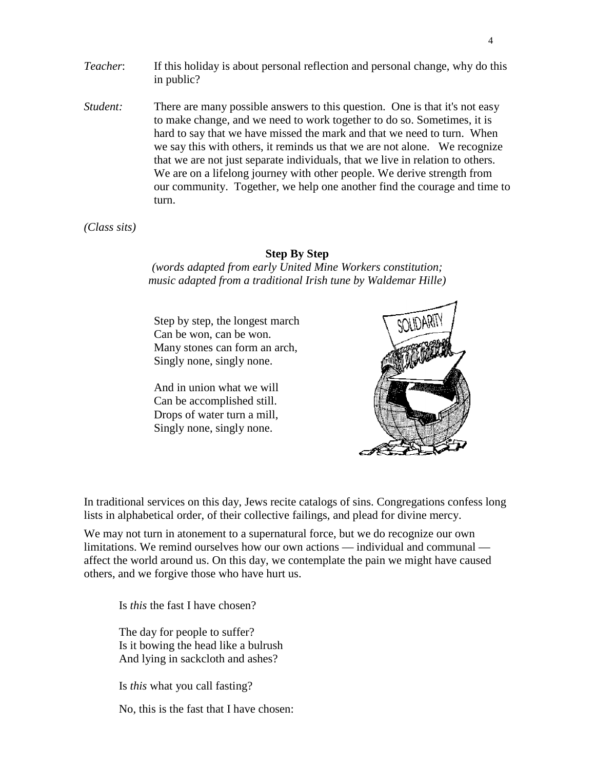- *Teacher*: If this holiday is about personal reflection and personal change, why do this in public?
- *Student:* There are many possible answers to this question. One is that it's not easy to make change, and we need to work together to do so. Sometimes, it is hard to say that we have missed the mark and that we need to turn. When we say this with others, it reminds us that we are not alone. We recognize that we are not just separate individuals, that we live in relation to others. We are on a lifelong journey with other people. We derive strength from our community. Together, we help one another find the courage and time to turn.

*(Class sits)*

#### **Step By Step**

*(words adapted from early United Mine Workers constitution; music adapted from a traditional Irish tune by Waldemar Hille)*

Step by step, the longest march Can be won, can be won. Many stones can form an arch, Singly none, singly none.

And in union what we will Can be accomplished still. Drops of water turn a mill, Singly none, singly none.



In traditional services on this day, Jews recite catalogs of sins. Congregations confess long lists in alphabetical order, of their collective failings, and plead for divine mercy.

We may not turn in atonement to a supernatural force, but we do recognize our own limitations. We remind ourselves how our own actions — individual and communal affect the world around us. On this day, we contemplate the pain we might have caused others, and we forgive those who have hurt us.

Is *this* the fast I have chosen?

The day for people to suffer? Is it bowing the head like a bulrush And lying in sackcloth and ashes?

Is *this* what you call fasting?

No, this is the fast that I have chosen: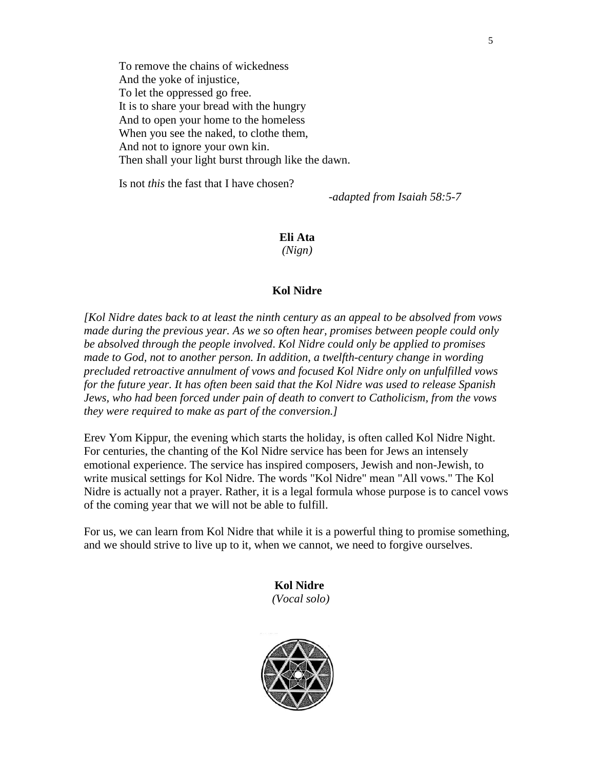To remove the chains of wickedness And the yoke of injustice, To let the oppressed go free. It is to share your bread with the hungry And to open your home to the homeless When you see the naked, to clothe them, And not to ignore your own kin. Then shall your light burst through like the dawn.

Is not *this* the fast that I have chosen?

-*adapted from Isaiah 58:5-7*

**Eli Ata** *(Nign)*

#### **Kol Nidre**

*[Kol Nidre dates back to at least the ninth century as an appeal to be absolved from vows made during the previous year. As we so often hear, promises between people could only be absolved through the people involved*. *Kol Nidre could only be applied to promises made to God, not to another person. In addition, a twelfth-century change in wording precluded retroactive annulment of vows and focused Kol Nidre only on unfulfilled vows for the future year. It has often been said that the Kol Nidre was used to release Spanish Jews, who had been forced under pain of death to convert to Catholicism, from the vows they were required to make as part of the conversion.]*

Erev Yom Kippur, the evening which starts the holiday, is often called Kol Nidre Night. For centuries, the chanting of the Kol Nidre service has been for Jews an intensely emotional experience. The service has inspired composers, Jewish and non-Jewish, to write musical settings for Kol Nidre. The words "Kol Nidre" mean "All vows." The Kol Nidre is actually not a prayer. Rather, it is a legal formula whose purpose is to cancel vows of the coming year that we will not be able to fulfill.

For us, we can learn from Kol Nidre that while it is a powerful thing to promise something, and we should strive to live up to it, when we cannot, we need to forgive ourselves.

> **Kol Nidre** *(Vocal solo)*

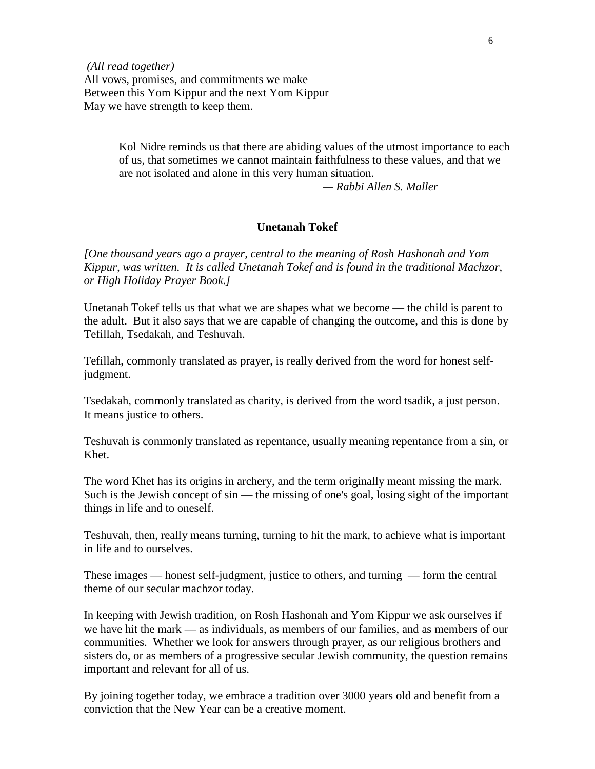*(All read together)* All vows, promises, and commitments we make Between this Yom Kippur and the next Yom Kippur May we have strength to keep them.

> Kol Nidre reminds us that there are abiding values of the utmost importance to each of us, that sometimes we cannot maintain faithfulness to these values, and that we are not isolated and alone in this very human situation.

*— Rabbi Allen S. Maller*

#### **Unetanah Tokef**

*[One thousand years ago a prayer, central to the meaning of Rosh Hashonah and Yom Kippur, was written. It is called Unetanah Tokef and is found in the traditional Machzor, or High Holiday Prayer Book.]*

Unetanah Tokef tells us that what we are shapes what we become — the child is parent to the adult. But it also says that we are capable of changing the outcome, and this is done by Tefillah, Tsedakah, and Teshuvah.

Tefillah, commonly translated as prayer, is really derived from the word for honest selfjudgment.

Tsedakah, commonly translated as charity, is derived from the word tsadik, a just person. It means justice to others.

Teshuvah is commonly translated as repentance, usually meaning repentance from a sin, or Khet.

The word Khet has its origins in archery, and the term originally meant missing the mark. Such is the Jewish concept of sin — the missing of one's goal, losing sight of the important things in life and to oneself.

Teshuvah, then, really means turning, turning to hit the mark, to achieve what is important in life and to ourselves.

These images — honest self-judgment, justice to others, and turning — form the central theme of our secular machzor today.

In keeping with Jewish tradition, on Rosh Hashonah and Yom Kippur we ask ourselves if we have hit the mark — as individuals, as members of our families, and as members of our communities. Whether we look for answers through prayer, as our religious brothers and sisters do, or as members of a progressive secular Jewish community, the question remains important and relevant for all of us.

By joining together today, we embrace a tradition over 3000 years old and benefit from a conviction that the New Year can be a creative moment.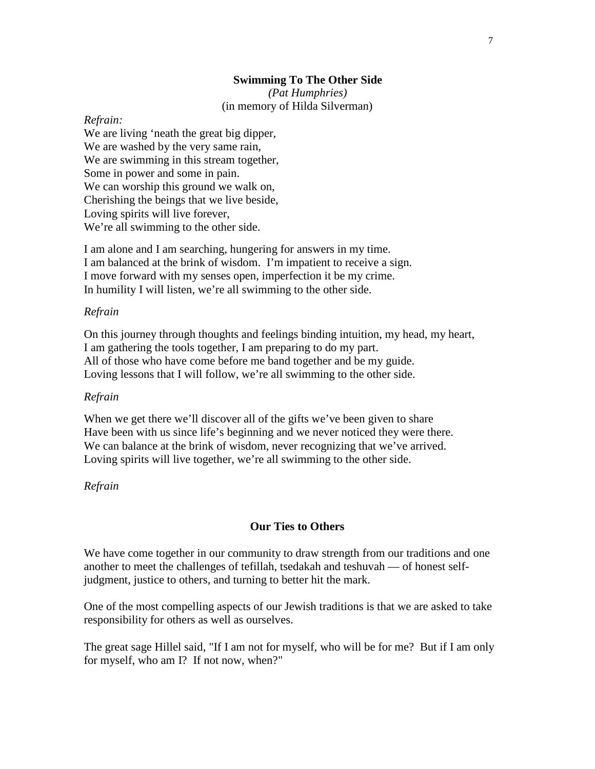#### **Swimming To The Other Side**

*(Pat Humphries)* (in memory of Hilda Silverman)

#### *Refrain:*

We are living 'neath the great big dipper, We are washed by the very same rain, We are swimming in this stream together, Some in power and some in pain. We can worship this ground we walk on, Cherishing the beings that we live beside, Loving spirits will live forever, We're all swimming to the other side.

I am alone and I am searching, hungering for answers in my time. I am balanced at the brink of wisdom. I'm impatient to receive a sign. I move forward with my senses open, imperfection it be my crime. In humility I will listen, we're all swimming to the other side.

#### *Refrain*

On this journey through thoughts and feelings binding intuition, my head, my heart, I am gathering the tools together, I am preparing to do my part. All of those who have come before me band together and be my guide. Loving lessons that I will follow, we're all swimming to the other side.

#### *Refrain*

When we get there we'll discover all of the gifts we've been given to share Have been with us since life's beginning and we never noticed they were there. We can balance at the brink of wisdom, never recognizing that we've arrived. Loving spirits will live together, we're all swimming to the other side.

# *Refrain*

# **Our Ties to Others**

We have come together in our community to draw strength from our traditions and one another to meet the challenges of tefillah, tsedakah and teshuvah — of honest selfjudgment, justice to others, and turning to better hit the mark.

One of the most compelling aspects of our Jewish traditions is that we are asked to take responsibility for others as well as ourselves.

The great sage Hillel said, "If I am not for myself, who will be for me? But if I am only for myself, who am I? If not now, when?"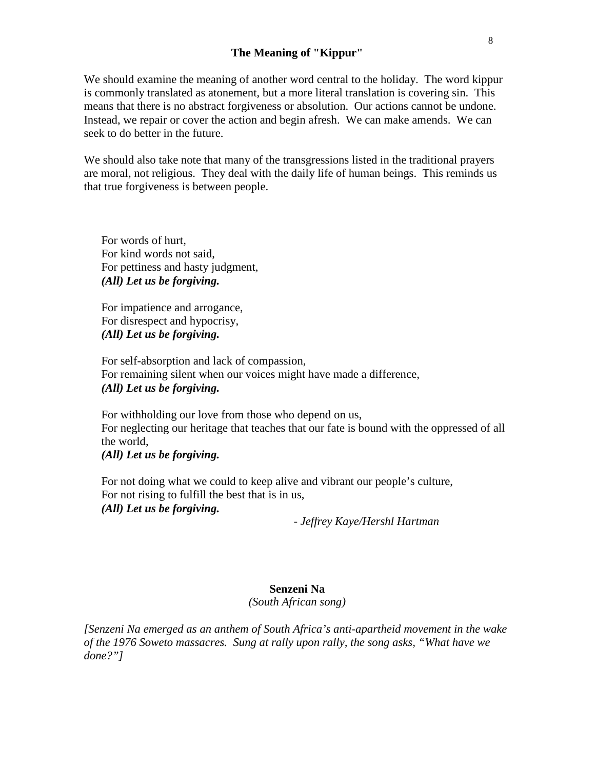#### **The Meaning of "Kippur"**

We should examine the meaning of another word central to the holiday. The word kippur is commonly translated as atonement, but a more literal translation is covering sin. This means that there is no abstract forgiveness or absolution. Our actions cannot be undone. Instead, we repair or cover the action and begin afresh. We can make amends. We can seek to do better in the future.

We should also take note that many of the transgressions listed in the traditional prayers are moral, not religious. They deal with the daily life of human beings. This reminds us that true forgiveness is between people.

For words of hurt, For kind words not said, For pettiness and hasty judgment, *(All) Let us be forgiving.*

For impatience and arrogance, For disrespect and hypocrisy, *(All) Let us be forgiving.*

For self-absorption and lack of compassion, For remaining silent when our voices might have made a difference, *(All) Let us be forgiving.*

For withholding our love from those who depend on us, For neglecting our heritage that teaches that our fate is bound with the oppressed of all the world, *(All) Let us be forgiving.*

For not doing what we could to keep alive and vibrant our people's culture, For not rising to fulfill the best that is in us, *(All) Let us be forgiving.*

*- Jeffrey Kaye/Hershl Hartman*

#### **Senzeni Na**

*(South African song)*

*[Senzeni Na emerged as an anthem of South Africa's anti-apartheid movement in the wake of the 1976 Soweto massacres. Sung at rally upon rally, the song asks, "What have we done?"]*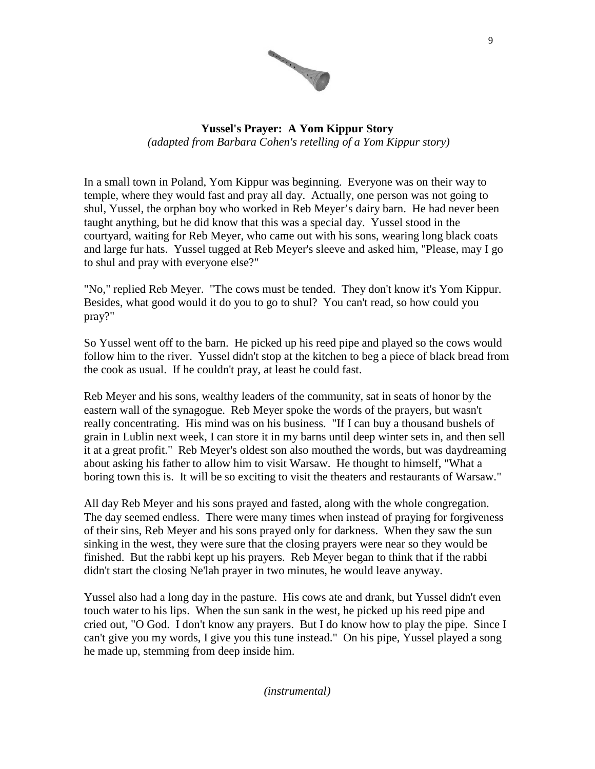

# **Yussel's Prayer: A Yom Kippur Story** *(adapted from Barbara Cohen's retelling of a Yom Kippur story)*

In a small town in Poland, Yom Kippur was beginning. Everyone was on their way to temple, where they would fast and pray all day. Actually, one person was not going to shul, Yussel, the orphan boy who worked in Reb Meyer's dairy barn. He had never been taught anything, but he did know that this was a special day. Yussel stood in the courtyard, waiting for Reb Meyer, who came out with his sons, wearing long black coats and large fur hats. Yussel tugged at Reb Meyer's sleeve and asked him, "Please, may I go to shul and pray with everyone else?"

"No," replied Reb Meyer. "The cows must be tended. They don't know it's Yom Kippur. Besides, what good would it do you to go to shul? You can't read, so how could you pray?"

So Yussel went off to the barn. He picked up his reed pipe and played so the cows would follow him to the river. Yussel didn't stop at the kitchen to beg a piece of black bread from the cook as usual. If he couldn't pray, at least he could fast.

Reb Meyer and his sons, wealthy leaders of the community, sat in seats of honor by the eastern wall of the synagogue. Reb Meyer spoke the words of the prayers, but wasn't really concentrating. His mind was on his business. "If I can buy a thousand bushels of grain in Lublin next week, I can store it in my barns until deep winter sets in, and then sell it at a great profit." Reb Meyer's oldest son also mouthed the words, but was daydreaming about asking his father to allow him to visit Warsaw. He thought to himself, "What a boring town this is. It will be so exciting to visit the theaters and restaurants of Warsaw."

All day Reb Meyer and his sons prayed and fasted, along with the whole congregation. The day seemed endless. There were many times when instead of praying for forgiveness of their sins, Reb Meyer and his sons prayed only for darkness. When they saw the sun sinking in the west, they were sure that the closing prayers were near so they would be finished. But the rabbi kept up his prayers. Reb Meyer began to think that if the rabbi didn't start the closing Ne'lah prayer in two minutes, he would leave anyway.

Yussel also had a long day in the pasture. His cows ate and drank, but Yussel didn't even touch water to his lips. When the sun sank in the west, he picked up his reed pipe and cried out, "O God. I don't know any prayers. But I do know how to play the pipe. Since I can't give you my words, I give you this tune instead." On his pipe, Yussel played a song he made up, stemming from deep inside him.

*(instrumental)*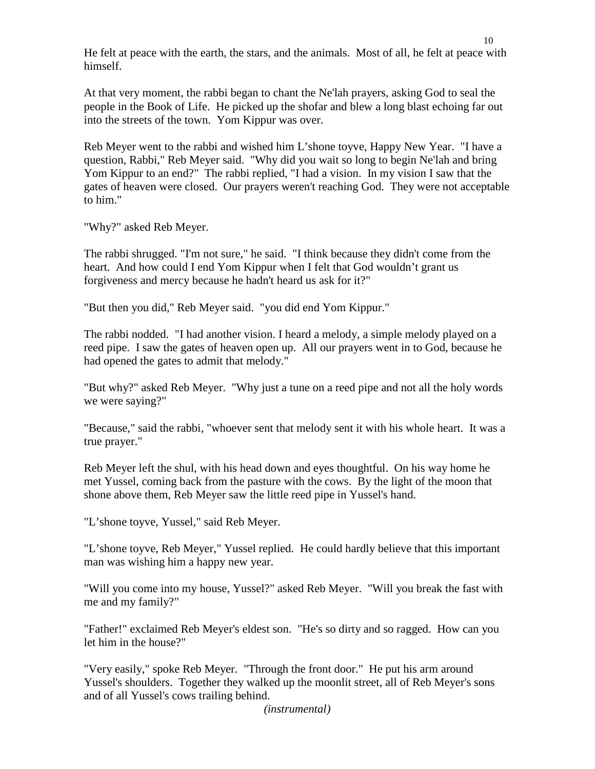He felt at peace with the earth, the stars, and the animals. Most of all, he felt at peace with himself.

At that very moment, the rabbi began to chant the Ne'lah prayers, asking God to seal the people in the Book of Life. He picked up the shofar and blew a long blast echoing far out into the streets of the town. Yom Kippur was over.

Reb Meyer went to the rabbi and wished him L'shone toyve, Happy New Year. "I have a question, Rabbi," Reb Meyer said. "Why did you wait so long to begin Ne'lah and bring Yom Kippur to an end?" The rabbi replied, "I had a vision. In my vision I saw that the gates of heaven were closed. Our prayers weren't reaching God. They were not acceptable to him."

"Why?" asked Reb Meyer.

The rabbi shrugged. "I'm not sure," he said. "I think because they didn't come from the heart. And how could I end Yom Kippur when I felt that God wouldn't grant us forgiveness and mercy because he hadn't heard us ask for it?"

"But then you did," Reb Meyer said. "you did end Yom Kippur."

The rabbi nodded. "I had another vision. I heard a melody, a simple melody played on a reed pipe. I saw the gates of heaven open up. All our prayers went in to God, because he had opened the gates to admit that melody."

"But why?" asked Reb Meyer. "Why just a tune on a reed pipe and not all the holy words we were saying?"

"Because," said the rabbi, "whoever sent that melody sent it with his whole heart. It was a true prayer."

Reb Meyer left the shul, with his head down and eyes thoughtful. On his way home he met Yussel, coming back from the pasture with the cows. By the light of the moon that shone above them, Reb Meyer saw the little reed pipe in Yussel's hand.

"L'shone toyve, Yussel," said Reb Meyer.

"L'shone toyve, Reb Meyer," Yussel replied. He could hardly believe that this important man was wishing him a happy new year.

"Will you come into my house, Yussel?" asked Reb Meyer. "Will you break the fast with me and my family?"

"Father!" exclaimed Reb Meyer's eldest son. "He's so dirty and so ragged. How can you let him in the house?"

"Very easily," spoke Reb Meyer. "Through the front door." He put his arm around Yussel's shoulders. Together they walked up the moonlit street, all of Reb Meyer's sons and of all Yussel's cows trailing behind.

*(instrumental)*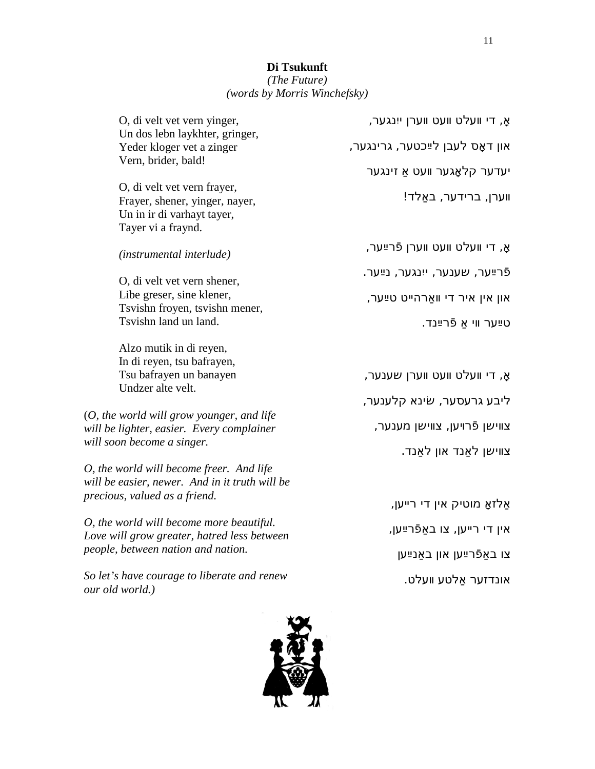# *(The Future) (words by Morris Winchefsky)*

| O, di velt vet vern yinger,<br>Un dos lebn laykhter, gringer,                                                                 | אָ, די וועלט וועט ווערן ייִנגער, |
|-------------------------------------------------------------------------------------------------------------------------------|----------------------------------|
| Yeder kloger vet a zinger<br>Vern, brider, bald!                                                                              | און דאָס לעבן לײַכטער, גרינגער,  |
|                                                                                                                               | יעדער קלאָגער וועט אַ זינגער     |
| O, di velt vet vern frayer,<br>Frayer, shener, yinger, nayer,<br>Un in ir di varhayt tayer,<br>Tayer vi a fraynd.             | ווערן, ברידער, באַלד!            |
| <i>(instrumental interlude)</i>                                                                                               | אָ, די וועלט וועט ווערן פֿרײַער, |
| O, di velt vet vern shener,                                                                                                   | פֿרײַער, שענער, ייִנגער, נײַער.  |
| Libe greser, sine klener,                                                                                                     | און אין איר די וואַרהייט טײַער,  |
| Tsvishn froyen, tsvishn mener,<br>Tsvishn land un land.                                                                       | טײַער ווי אַ פֿרײַנד.            |
| Alzo mutik in di reyen,<br>In di reyen, tsu bafrayen,                                                                         |                                  |
| Tsu bafrayen un banayen<br>Undzer alte velt.                                                                                  | אָ, די וועלט וועט ווערן שענער,   |
|                                                                                                                               | ליבע גרעסער, שׂינא קלענער,       |
| (O, the world will grow younger, and life<br>will be lighter, easier. Every complainer<br>will soon become a singer.          | צווישן פֿרױען, צווישן מענער,     |
|                                                                                                                               | צווישן לאַנד און לאַנד.          |
| O, the world will become freer. And life<br>will be easier, newer. And in it truth will be                                    |                                  |
| precious, valued as a friend.                                                                                                 | אַלזאַ מוטיק אין די רייען,       |
| O, the world will become more beautiful.<br>Love will grow greater, hatred less between<br>people, between nation and nation. | אין די רייען, צו באַפֿרײַען,     |
|                                                                                                                               | צו באַפֿרײַען און באַנײַען       |

*So let's have courage to liberate and renew our old world.)*



אונדזער אַלטע װעלט.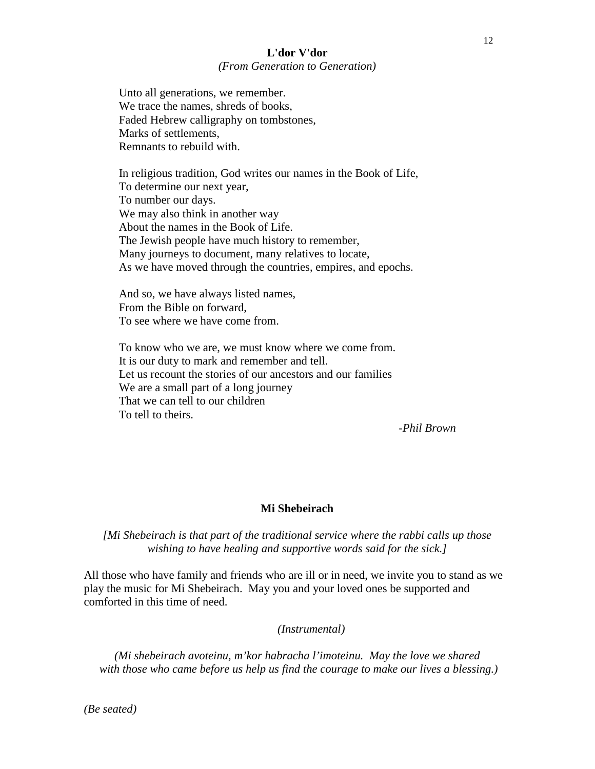#### **L'dor V'dor** *(From Generation to Generation)*

Unto all generations, we remember. We trace the names, shreds of books, Faded Hebrew calligraphy on tombstones, Marks of settlements, Remnants to rebuild with.

In religious tradition, God writes our names in the Book of Life, To determine our next year, To number our days. We may also think in another way About the names in the Book of Life. The Jewish people have much history to remember, Many journeys to document, many relatives to locate, As we have moved through the countries, empires, and epochs.

And so, we have always listed names, From the Bible on forward, To see where we have come from.

To know who we are, we must know where we come from. It is our duty to mark and remember and tell. Let us recount the stories of our ancestors and our families We are a small part of a long journey That we can tell to our children To tell to theirs.

-*Phil Brown*

#### **Mi Shebeirach**

*[Mi Shebeirach is that part of the traditional service where the rabbi calls up those wishing to have healing and supportive words said for the sick.]*

All those who have family and friends who are ill or in need, we invite you to stand as we play the music for Mi Shebeirach. May you and your loved ones be supported and comforted in this time of need.

*(Instrumental)*

*(Mi shebeirach avoteinu, m'kor habracha l'imoteinu. May the love we shared with those who came before us help us find the courage to make our lives a blessing.)*

*(Be seated)*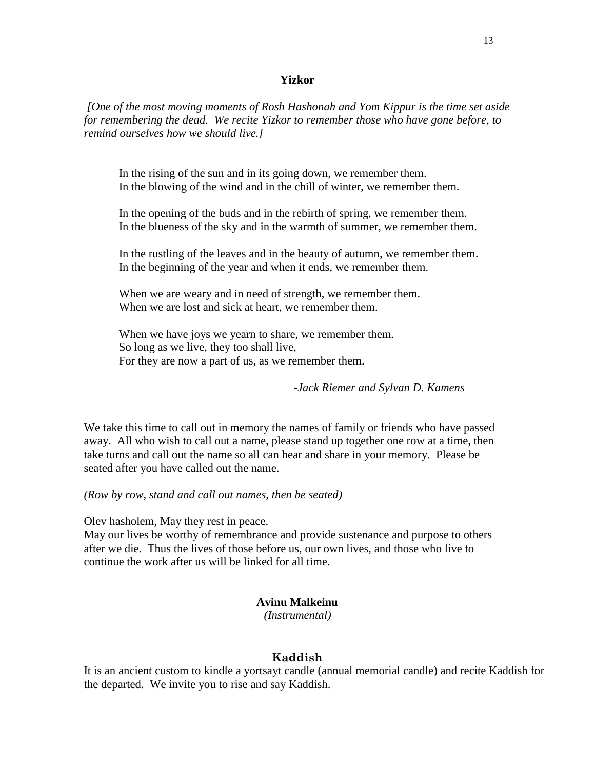#### **Yizkor**

*[One of the most moving moments of Rosh Hashonah and Yom Kippur is the time set aside for remembering the dead. We recite Yizkor to remember those who have gone before, to remind ourselves how we should live.]*

In the rising of the sun and in its going down, we remember them. In the blowing of the wind and in the chill of winter, we remember them.

In the opening of the buds and in the rebirth of spring, we remember them. In the blueness of the sky and in the warmth of summer, we remember them.

In the rustling of the leaves and in the beauty of autumn, we remember them. In the beginning of the year and when it ends, we remember them.

When we are weary and in need of strength, we remember them. When we are lost and sick at heart, we remember them.

When we have joys we yearn to share, we remember them. So long as we live, they too shall live, For they are now a part of us, as we remember them.

*-Jack Riemer and Sylvan D. Kamens*

We take this time to call out in memory the names of family or friends who have passed away. All who wish to call out a name, please stand up together one row at a time, then take turns and call out the name so all can hear and share in your memory. Please be seated after you have called out the name.

*(Row by row, stand and call out names, then be seated)*

Olev hasholem, May they rest in peace.

May our lives be worthy of remembrance and provide sustenance and purpose to others after we die. Thus the lives of those before us, our own lives, and those who live to continue the work after us will be linked for all time.

#### **Avinu Malkeinu**

*(Instrumental)*

#### **Kaddish**

It is an ancient custom to kindle a yortsayt candle (annual memorial candle) and recite Kaddish for the departed. We invite you to rise and say Kaddish.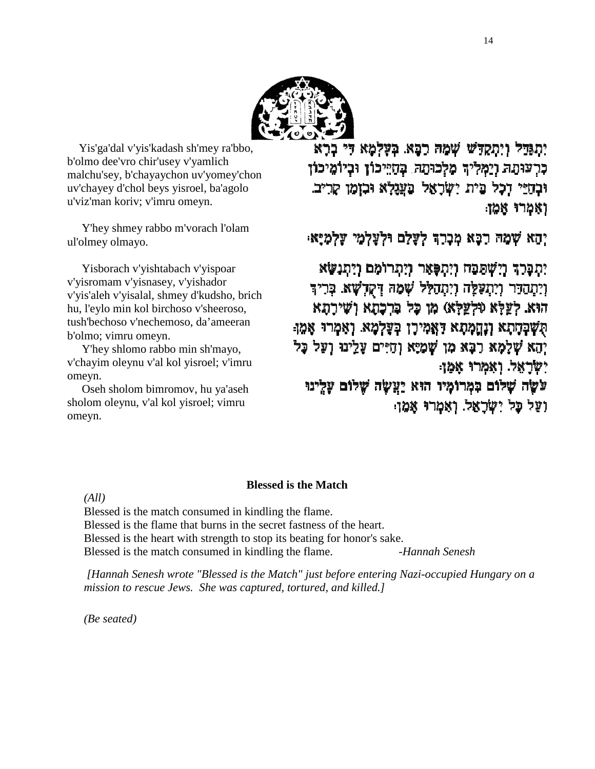

Yis'ga'dal v'yis'kadash sh'mey ra'bbo, b'olmo dee'vro chir'usey v'yamlich malchu'sey, b'chayaychon uv'yomey'chon uv'chayey d'chol beys yisroel, ba'agolo u'viz'man koriv; v'imru omeyn.

Y'hey shmey rabbo m'vorach l'olam ul'olmey olmayo.

Yisborach v'yishtabach v'yispoar v'yisromam v'yisnasey, v'yishador v'yis'aleh v'yisalal, shmey d'kudsho, brich hu, l'eylo min kol birchoso v'sheeroso, tush'bechoso v'nechemoso, da'ameeran b'olmo; vimru omeyn.

Y'hey shlomo rabbo min sh'mayo, v'chayim oleynu v'al kol yisroel; v'imru omeyn.

Oseh sholom bimromov, hu ya'aseh sholom oleynu, v'al kol yisroel; vimru omeyn.

יתגדל ויתקדש שמה רכא בעלמא די ברא כרעותה וימליד מלכותה. כחייכון וכיומיכון וּבְחָיֵי דְכָל בֵית יִשְׁרָאֵל בַעֲגָלָא וּבִזְמַן קָרִיב. ואמרו אמן

יהא שמה רכא מכרד לעלם ולעלמי עלמיא:

יתכרר וישפבח ויתפאר ויתרומם ויתנשא וְיַתְהַדָּר וְיִתְעָלֶה וְיִתְהַלֵּל שְמָה דְקָדְשָׁא. בְּרִיךָ הוא לְעֵלָא (וּלְעֵלָא) מו כָּל בִּרְכָתָא וְשִׁירָתָא הִשְׁבְחָתָא וְנֶחֲמָתָא דַאֲמִירָן בְעָלְמָא. וְאִמְרוּ אָמֵן יְהָא שְלָמָא רַבָּא מִן שְׁמַיָּא וְחַיִּים עָלֵינוּ וְעַל כָּל ישראל ואמרו אמן עשָׂה שָׁלוֹם בִּמְרוֹמָיו הוּא יַעֲשָׂה שָׁלוֹם עָלִינוּ ועל כל ישראל. ואמרו אמו:

#### **Blessed is the Match**

*(All)*

Blessed is the match consumed in kindling the flame. Blessed is the flame that burns in the secret fastness of the heart. Blessed is the heart with strength to stop its beating for honor's sake. Blessed is the match consumed in kindling the flame. *-Hannah Senesh*

*[Hannah Senesh wrote "Blessed is the Match" just before entering Nazi-occupied Hungary on a mission to rescue Jews. She was captured, tortured, and killed.]*

*(Be seated)*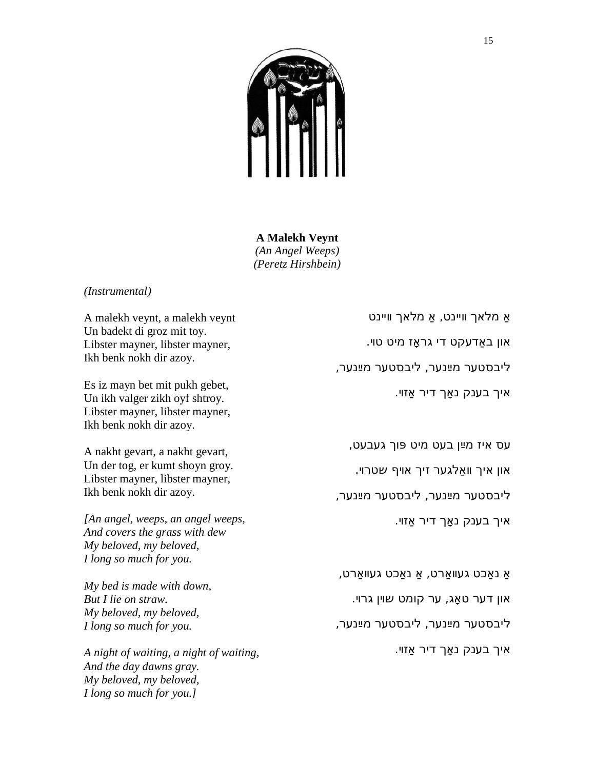

**A Malekh Veynt** *(An Angel Weeps) (Peretz Hirshbein)*

#### *(Instrumental)*

A malekh veynt, a malekh veynt Un badekt di groz mit toy. Libster mayner, libster mayner, Ikh benk nokh dir azoy.

Es iz mayn bet mit pukh gebet, Un ikh valger zikh oyf shtroy. Libster mayner, libster mayner, Ikh benk nokh dir azoy.

A nakht gevart, a nakht gevart, Un der tog, er kumt shoyn groy. Libster mayner, libster mayner, Ikh benk nokh dir azoy.

*[An angel, weeps, an angel weeps, And covers the grass with dew My beloved, my beloved, I long so much for you.*

*My bed is made with down, But I lie on straw. My beloved, my beloved, I long so much for you.*

*A night of waiting, a night of waiting, And the day dawns gray. My beloved, my beloved, I long so much for you.]*

אַ מלאך װײנט, אַ מלאך װײנט און באַדעקט די גראָז מיט טױ. ליבסטער מײַנער, ליבסטער מײַנער, איך בענק נאָך דיר אַזױ.

עס איז מײַן בעט מיט פּוך געבעט,

און איך װאַלגער זיך אױף שטרױ.

ליבסטער מײַנער, ליבסטער מײַנער,

איך בענק נאָך דיר אַזױ.

אַ נאַכט געװאַרט, אַ נאַכט געװאַרט,

און דער טאָג, ער קומט שױן גרױ.

ליבסטער מײַנער, ליבסטער מײַנער,

איך בענק נאָך דיר אַזױ.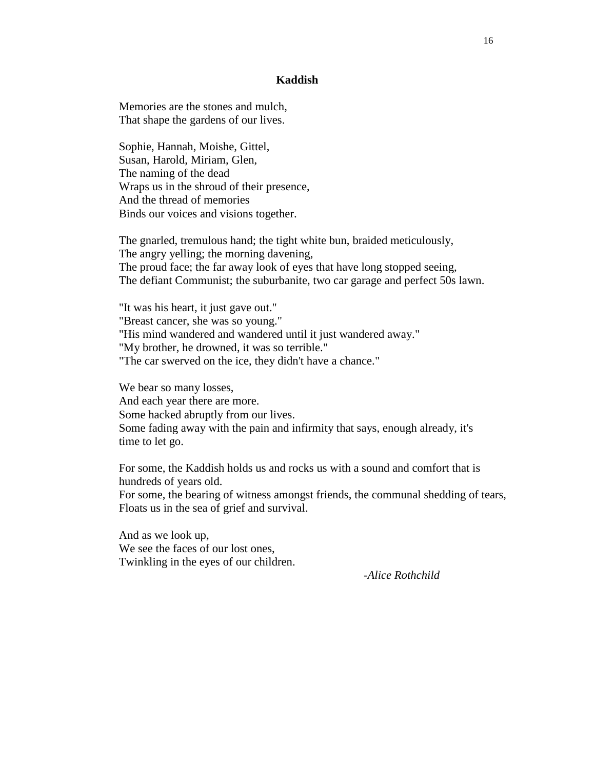#### **Kaddish**

Memories are the stones and mulch, That shape the gardens of our lives.

Sophie, Hannah, Moishe, Gittel, Susan, Harold, Miriam, Glen, The naming of the dead Wraps us in the shroud of their presence, And the thread of memories Binds our voices and visions together.

The gnarled, tremulous hand; the tight white bun, braided meticulously, The angry yelling; the morning davening, The proud face; the far away look of eyes that have long stopped seeing, The defiant Communist; the suburbanite, two car garage and perfect 50s lawn.

"It was his heart, it just gave out." "Breast cancer, she was so young." "His mind wandered and wandered until it just wandered away." "My brother, he drowned, it was so terrible." "The car swerved on the ice, they didn't have a chance."

We bear so many losses, And each year there are more. Some hacked abruptly from our lives. Some fading away with the pain and infirmity that says, enough already, it's time to let go.

For some, the Kaddish holds us and rocks us with a sound and comfort that is hundreds of years old.

For some, the bearing of witness amongst friends, the communal shedding of tears, Floats us in the sea of grief and survival.

And as we look up, We see the faces of our lost ones, Twinkling in the eyes of our children.

*-Alice Rothchild*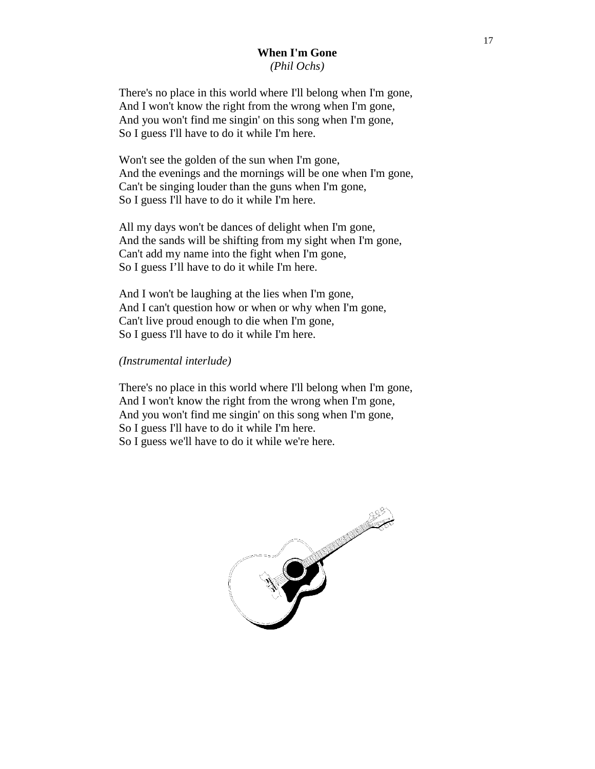#### **When I'm Gone** *(Phil Ochs)*

There's no place in this world where I'll belong when I'm gone, And I won't know the right from the wrong when I'm gone, And you won't find me singin' on this song when I'm gone, So I guess I'll have to do it while I'm here.

Won't see the golden of the sun when I'm gone, And the evenings and the mornings will be one when I'm gone, Can't be singing louder than the guns when I'm gone, So I guess I'll have to do it while I'm here.

All my days won't be dances of delight when I'm gone, And the sands will be shifting from my sight when I'm gone, Can't add my name into the fight when I'm gone, So I guess I'll have to do it while I'm here.

And I won't be laughing at the lies when I'm gone, And I can't question how or when or why when I'm gone, Can't live proud enough to die when I'm gone, So I guess I'll have to do it while I'm here.

#### *(Instrumental interlude)*

There's no place in this world where I'll belong when I'm gone, And I won't know the right from the wrong when I'm gone, And you won't find me singin' on this song when I'm gone, So I guess I'll have to do it while I'm here. So I guess we'll have to do it while we're here.

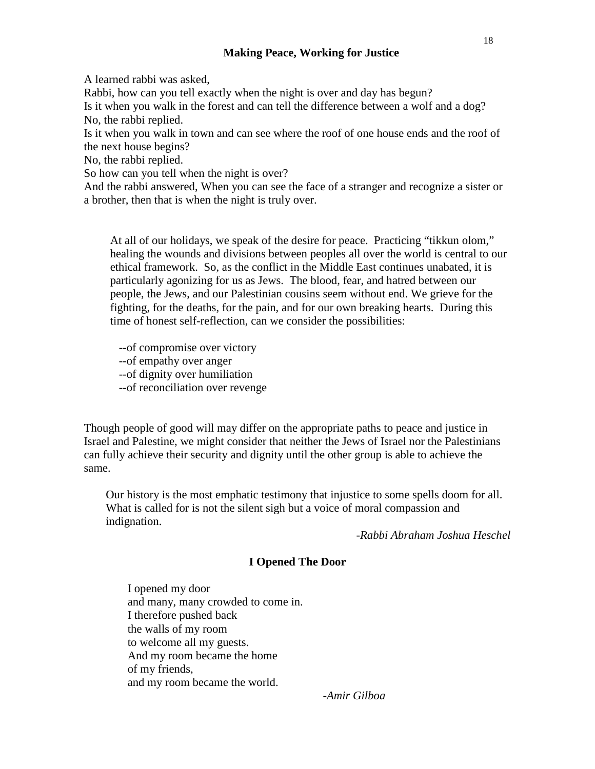#### **Making Peace, Working for Justice**

A learned rabbi was asked,

Rabbi, how can you tell exactly when the night is over and day has begun?

Is it when you walk in the forest and can tell the difference between a wolf and a dog? No, the rabbi replied.

Is it when you walk in town and can see where the roof of one house ends and the roof of the next house begins?

No, the rabbi replied.

So how can you tell when the night is over?

And the rabbi answered, When you can see the face of a stranger and recognize a sister or a brother, then that is when the night is truly over.

At all of our holidays, we speak of the desire for peace. Practicing "tikkun olom," healing the wounds and divisions between peoples all over the world is central to our ethical framework. So, as the conflict in the Middle East continues unabated, it is particularly agonizing for us as Jews. The blood, fear, and hatred between our people, the Jews, and our Palestinian cousins seem without end. We grieve for the fighting, for the deaths, for the pain, and for our own breaking hearts. During this time of honest self-reflection, can we consider the possibilities:

--of compromise over victory --of empathy over anger --of dignity over humiliation --of reconciliation over revenge

Though people of good will may differ on the appropriate paths to peace and justice in Israel and Palestine, we might consider that neither the Jews of Israel nor the Palestinians can fully achieve their security and dignity until the other group is able to achieve the same.

Our history is the most emphatic testimony that injustice to some spells doom for all. What is called for is not the silent sigh but a voice of moral compassion and indignation.

-*Rabbi Abraham Joshua Heschel*

#### **I Opened The Door**

I opened my door and many, many crowded to come in. I therefore pushed back the walls of my room to welcome all my guests. And my room became the home of my friends, and my room became the world.

*-Amir Gilboa*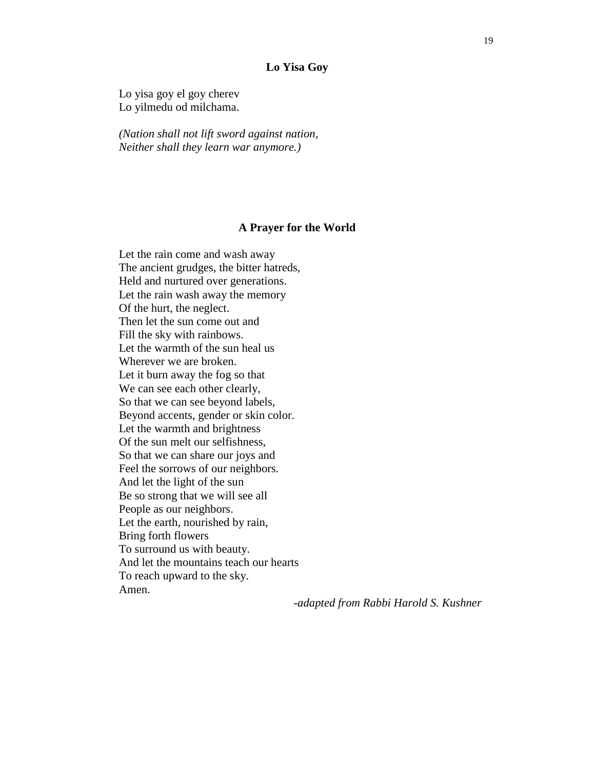#### **Lo Yisa Goy**

Lo yisa goy el goy cherev Lo yilmedu od milchama.

*(Nation shall not lift sword against nation, Neither shall they learn war anymore.)*

#### **A Prayer for the World**

Let the rain come and wash away The ancient grudges, the bitter hatreds, Held and nurtured over generations. Let the rain wash away the memory Of the hurt, the neglect. Then let the sun come out and Fill the sky with rainbows. Let the warmth of the sun heal us Wherever we are broken. Let it burn away the fog so that We can see each other clearly, So that we can see beyond labels, Beyond accents, gender or skin color. Let the warmth and brightness Of the sun melt our selfishness, So that we can share our joys and Feel the sorrows of our neighbors. And let the light of the sun Be so strong that we will see all People as our neighbors. Let the earth, nourished by rain, Bring forth flowers To surround us with beauty. And let the mountains teach our hearts To reach upward to the sky. Amen.

*-adapted from Rabbi Harold S. Kushner*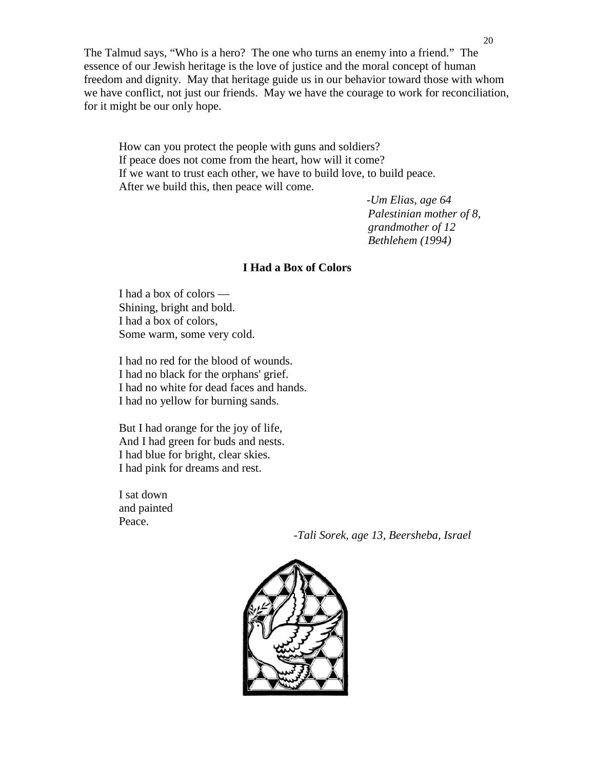The Talmud says, "Who is a hero? The one who turns an enemy into a friend." The essence of our Jewish heritage is the love of justice and the moral concept of human freedom and dignity. May that heritage guide us in our behavior toward those with whom we have conflict, not just our friends. May we have the courage to work for reconciliation, for it might be our only hope.

How can you protect the people with guns and soldiers? If peace does not come from the heart, how will it come? If we want to trust each other, we have to build love, to build peace. After we build this, then peace will come.

> *-Um Elias, age 64 Palestinian mother of 8, grandmother of 12 Bethlehem (1994)*

#### **I Had a Box of Colors**

I had a box of colors — Shining, bright and bold. I had a box of colors, Some warm, some very cold.

I had no red for the blood of wounds. I had no black for the orphans' grief. I had no white for dead faces and hands. I had no yellow for burning sands.

But I had orange for the joy of life, And I had green for buds and nests. I had blue for bright, clear skies. I had pink for dreams and rest.

I sat down and painted Peace.

*-Tali Sorek, age 13, Beersheba, Israel*

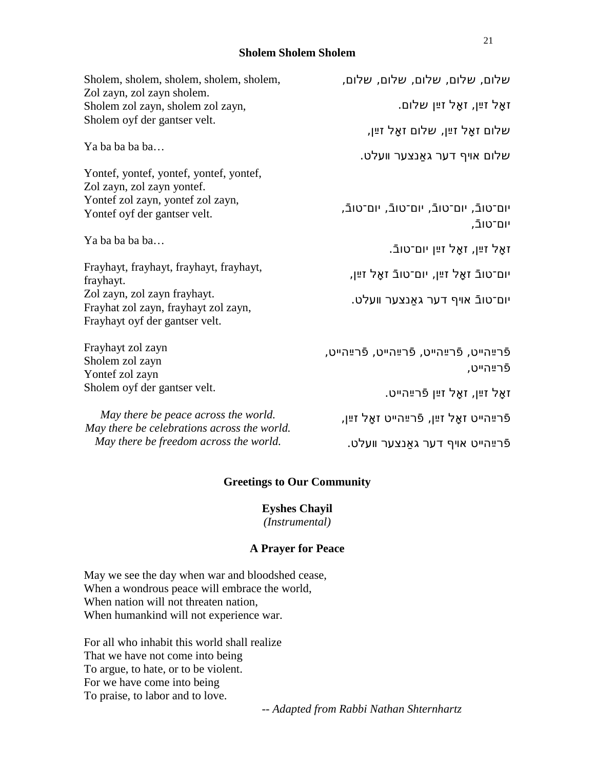#### **Sholem Sholem Sholem**

| Sholem, sholem, sholem, sholem, sholem,                         | שלום, שלום, שלום, שלום, שלום,                        |
|-----------------------------------------------------------------|------------------------------------------------------|
| Zol zayn, zol zayn sholem.<br>Sholem zol zayn, sholem zol zayn, | זאַל זײַן, זאַל זײַן שלום.                           |
| Sholem oyf der gantser velt.                                    | שלום זאַל זײַן, שלום זאַל זײַן,                      |
|                                                                 |                                                      |
| Ya ba ba ba ba                                                  | שלום אויף דער גאַנצער וועלט.                         |
| Yontef, yontef, yontef, yontef, yontef,                         |                                                      |
| Zol zayn, zol zayn yontef.                                      |                                                      |
| Yontef zol zayn, yontef zol zayn,                               |                                                      |
| Yontef oyf der gantser velt.                                    | יום־טובֿ, יום־טובֿ, יום־טובֿ, יום־טובֿ,<br>יום־טובֿ, |
| Ya ba ba ba ba                                                  |                                                      |
|                                                                 | זאַל זײַן, זאַל זײַן יום־טובֿ.                       |
| Frayhayt, frayhayt, frayhayt, frayhayt,                         |                                                      |
| frayhayt.                                                       | יום־טובֿ זאַל זײַן, יום־טובֿ זאַל זײַן,              |
| Zol zayn, zol zayn frayhayt.                                    |                                                      |
| Frayhat zol zayn, frayhayt zol zayn,                            | יום־טובֿ אױף דער גאַנצער װעלט.                       |
| Frayhayt oyf der gantser velt.                                  |                                                      |
| Frayhayt zol zayn                                               | פֿרײַהײט, פֿרײַהײט, פֿרײַהײט, פֿרײַהײט,              |
| Sholem zol zayn                                                 |                                                      |
| Yontef zol zayn                                                 | פֿרײַהײט,                                            |
| Sholem oyf der gantser velt.                                    |                                                      |
|                                                                 | זאַל זײַן, זאַל זײַן פֿרײַהײט.                       |
| May there be peace across the world.                            | פֿרײַהײט זאַל זײַן, פֿרײַהײט זאַל זײַן,              |
| May there be celebrations across the world.                     |                                                      |
| May there be freedom across the world.                          | פֿרײַהײט אױף דער גאַנצער װעלט.                       |

## **Greetings to Our Community**

**Eyshes Chayil** *(Instrumental)*

#### **A Prayer for Peace**

May we see the day when war and bloodshed cease, When a wondrous peace will embrace the world, When nation will not threaten nation, When humankind will not experience war.

For all who inhabit this world shall realize That we have not come into being To argue, to hate, or to be violent. For we have come into being To praise, to labor and to love.

*-- Adapted from Rabbi Nathan Shternhartz*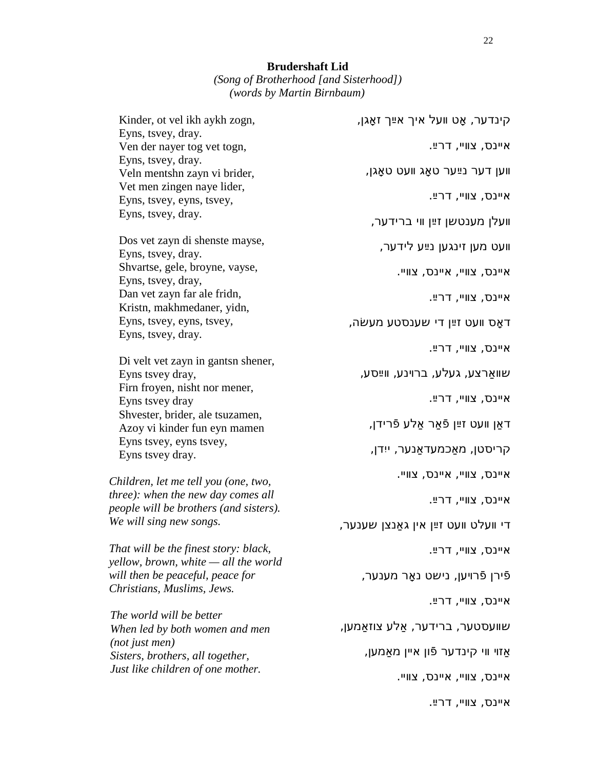*(Song of Brotherhood [and Sisterhood]) (words by Martin Birnbaum)*

| Kinder, ot vel ikh aykh zogn,                                   | קינדער, אָט וועל איך אײַך זאָגן,     |
|-----------------------------------------------------------------|--------------------------------------|
| Eyns, tsvey, dray.                                              |                                      |
| Ven der nayer tog vet togn,                                     | איינס, צוויי, דרײַ.                  |
| Eyns, tsvey, dray.                                              | ווען דער נײַער טאָג וועט טאַגן,      |
| Veln mentshn zayn vi brider,<br>Vet men zingen naye lider,      |                                      |
| Eyns, tsvey, eyns, tsvey,                                       | איינס, צוויי, דרײַ.                  |
| Eyns, tsvey, dray.                                              |                                      |
|                                                                 | וועלן מענטשן זײַן ווי ברידער,        |
| Dos vet zayn di shenste mayse,                                  | וועט מען זינגען נײַע לידער,          |
| Eyns, tsvey, dray.                                              |                                      |
| Shvartse, gele, broyne, vayse,                                  | איינס, צוויי, איינס, צוויי.          |
| Eyns, tsvey, dray,                                              |                                      |
| Dan vet zayn far ale fridn,<br>Kristn, makhmedaner, yidn,       | איינס, צוויי, דרײַ.                  |
| Eyns, tsvey, eyns, tsvey,                                       |                                      |
| Eyns, tsvey, dray.                                              | דאַס וועט זײַן די שענסטע מעשׂה,      |
|                                                                 | איינס, צוויי, דרײַ.                  |
| Di velt vet zayn in gantsn shener,                              |                                      |
| Eyns tsvey dray,                                                | שוואַרצע, געלע, ברוינע, ווײַסע,      |
| Firn froyen, nisht nor mener,                                   | איינס, צוויי, דרײַ.                  |
| Eyns tsvey dray                                                 |                                      |
| Shvester, brider, ale tsuzamen,<br>Azoy vi kinder fun eyn mamen | דאַן וועט זײַן פֿאַר אַלע פֿרידן,    |
| Eyns tsvey, eyns tsvey,                                         |                                      |
| Eyns tsvey dray.                                                | קריסטן, מאַכמעדאַנער, ייִדן,         |
|                                                                 | איינס, צוויי, איינס, צוויי.          |
| Children, let me tell you (one, two,                            |                                      |
| three): when the new day comes all                              | איינס, צוויי, דרײַ.                  |
| people will be brothers (and sisters).                          |                                      |
| We will sing new songs.                                         | די וועלט וועט זײַן אין גאַנצן שענער, |
| That will be the finest story: black,                           | איינס, צוויי, דרײַ.                  |
| yellow, brown, white - all the world                            |                                      |
| will then be peaceful, peace for                                | פֿירן פֿרױען, נישט נאַר מענער,       |
| Christians, Muslims, Jews.                                      |                                      |
| The world will be better                                        | איינס, צוויי, דרײַ.                  |
| When led by both women and men                                  | שוועסטער, ברידער, אַלע צוזאַמען,     |
| $(not$ just men $)$                                             |                                      |
| Sisters, brothers, all together,                                | אַזוי ווי קינדער פֿון אײן מאַמען,    |
| Just like children of one mother.                               | איינס, צוויי, איינס, צוויי.          |
|                                                                 |                                      |
|                                                                 | איינס, צוויי, דרײַ.                  |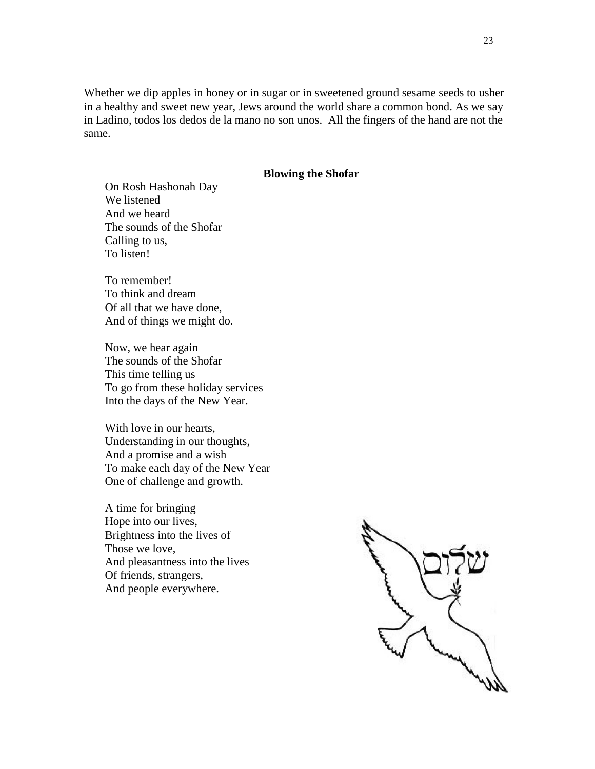Whether we dip apples in honey or in sugar or in sweetened ground sesame seeds to usher in a healthy and sweet new year, Jews around the world share a common bond. As we say in Ladino, todos los dedos de la mano no son unos. All the fingers of the hand are not the same.

#### **Blowing the Shofar**

On Rosh Hashonah Day We listened And we heard The sounds of the Shofar Calling to us, To listen!

To remember! To think and dream Of all that we have done, And of things we might do.

Now, we hear again The sounds of the Shofar This time telling us To go from these holiday services Into the days of the New Year.

With love in our hearts, Understanding in our thoughts, And a promise and a wish To make each day of the New Year One of challenge and growth.

A time for bringing Hope into our lives, Brightness into the lives of Those we love, And pleasantness into the lives Of friends, strangers, And people everywhere.

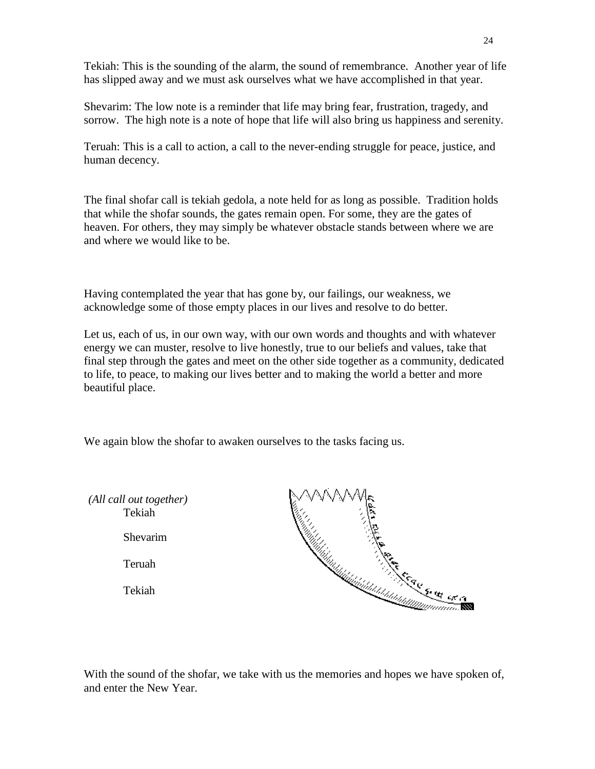Tekiah: This is the sounding of the alarm, the sound of remembrance. Another year of life has slipped away and we must ask ourselves what we have accomplished in that year.

Shevarim: The low note is a reminder that life may bring fear, frustration, tragedy, and sorrow. The high note is a note of hope that life will also bring us happiness and serenity.

Teruah: This is a call to action, a call to the never-ending struggle for peace, justice, and human decency.

The final shofar call is tekiah gedola, a note held for as long as possible. Tradition holds that while the shofar sounds, the gates remain open. For some, they are the gates of heaven. For others, they may simply be whatever obstacle stands between where we are and where we would like to be.

Having contemplated the year that has gone by, our failings, our weakness, we acknowledge some of those empty places in our lives and resolve to do better.

Let us, each of us, in our own way, with our own words and thoughts and with whatever energy we can muster, resolve to live honestly, true to our beliefs and values, take that final step through the gates and meet on the other side together as a community, dedicated to life, to peace, to making our lives better and to making the world a better and more beautiful place.

We again blow the shofar to awaken ourselves to the tasks facing us.



With the sound of the shofar, we take with us the memories and hopes we have spoken of, and enter the New Year.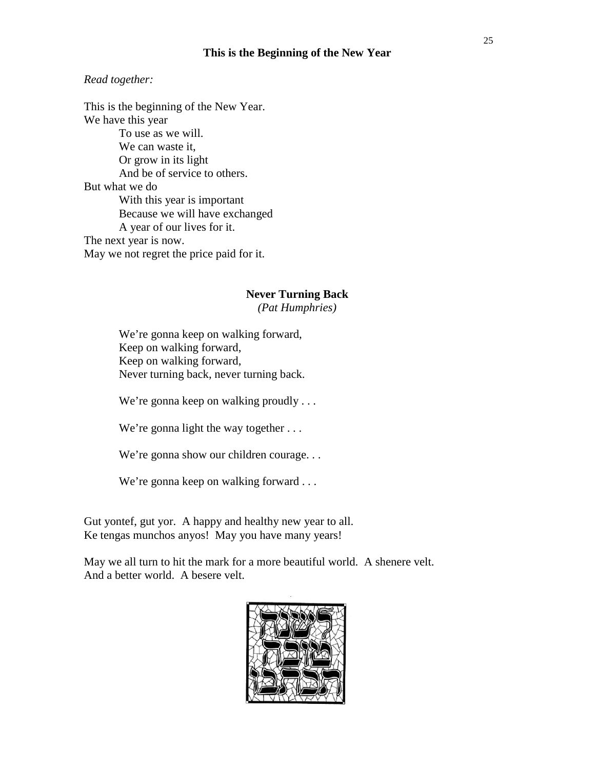#### **This is the Beginning of the New Year**

#### *Read together:*

This is the beginning of the New Year. We have this year To use as we will. We can waste it, Or grow in its light And be of service to others. But what we do With this year is important Because we will have exchanged A year of our lives for it. The next year is now. May we not regret the price paid for it.

# **Never Turning Back**

*(Pat Humphries)*

We're gonna keep on walking forward, Keep on walking forward, Keep on walking forward, Never turning back, never turning back.

We're gonna keep on walking proudly ...

We're gonna light the way together ...

We're gonna show our children courage...

We're gonna keep on walking forward ...

Gut yontef, gut yor. A happy and healthy new year to all. Ke tengas munchos anyos! May you have many years!

May we all turn to hit the mark for a more beautiful world. A shenere velt. And a better world. A besere velt.

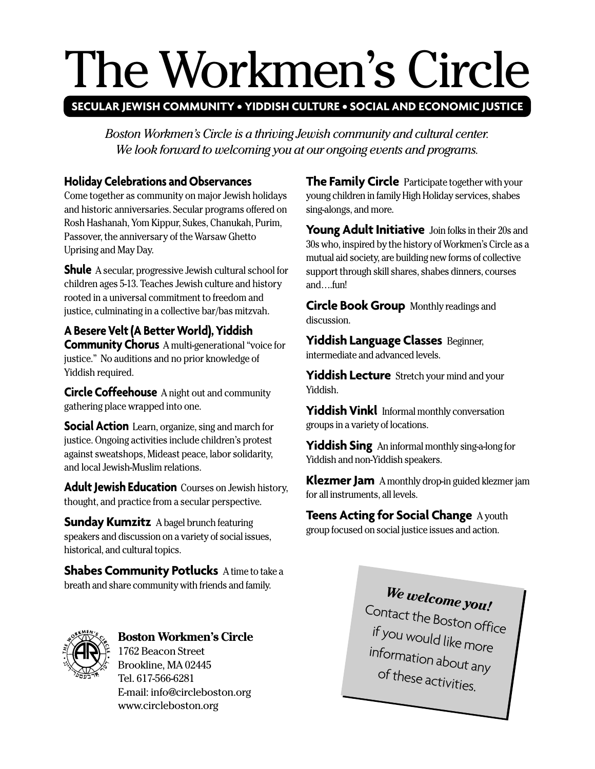# The Workmen's Circle

# **SECULAR JEWISH COMMUNITY • YIDDISH CULTURE • SOCIAL AND ECONOMIC JUSTICE**

*Boston Workmen's Circle is a thriving Jewish community and cultural center. We look forward to welcoming you at our ongoing events and programs.*

# **Holiday Celebrations and Observances**

Come together as community on major Jewish holidays and historic anniversaries. Secular programs offered on Rosh Hashanah, Yom Kippur, Sukes, Chanukah, Purim, Passover, the anniversary of the Warsaw Ghetto Uprising and May Day.

**Shule** A secular, progressive Jewish cultural school for children ages 5-13. Teaches Jewish culture and history rooted in a universal commitment to freedom and justice, culminating in a collective bar/bas mitzvah.

**A Besere Velt (A Better World), Yiddish Community Chorus** A multi-generational "voice for justice." No auditions and no prior knowledge of Yiddish required.

**Circle Coffeehouse** A night out and community gathering place wrapped into one.

**Social Action** Learn, organize, sing and march for justice. Ongoing activities include children's protest against sweatshops, Mideast peace, labor solidarity, and local Jewish-Muslim relations.

**Adult Jewish Education** Courses on Jewish history, thought, and practice from a secular perspective.

**Sunday Kumzitz** A bagel brunch featuring speakers and discussion on a variety of social issues, historical, and cultural topics.

**Shabes Community Potlucks** A time to take a breath and share community with friends and family.



## **Boston Workmen's Circle** 1762 Beacon Street

Brookline, MA 02445 Tel. 617-566-6281 E-mail: info@circleboston.org www.circleboston.org

**The Family Circle** Participate together with your young children in family High Holiday services, shabes sing-alongs, and more.

Young Adult Initiative Join folks in their 20s and 30s who, inspired by the history of Workmen's Circle as a mutual aid society, are building new forms of collective support through skill shares, shabes dinners, courses and….fun!

**Circle Book Group** Monthly readings and discussion.

**Yiddish Language Classes** Beginner, intermediate and advanced levels.

**Yiddish Lecture** Stretch your mind and your Yiddish.

Yiddish Vinkl Informal monthly conversation groups in a variety of locations.

**Yiddish Sing** An informal monthly sing-a-long for Yiddish and non-Yiddish speakers.

**Klezmer Jam** A monthly drop-in guided klezmer jam for all instruments, all levels.

# **Teens Acting for Social Change** A youth group focused on social justice issues and action.

*We welcome you!* Contact the Boston office if you would like more information about any of these activities.